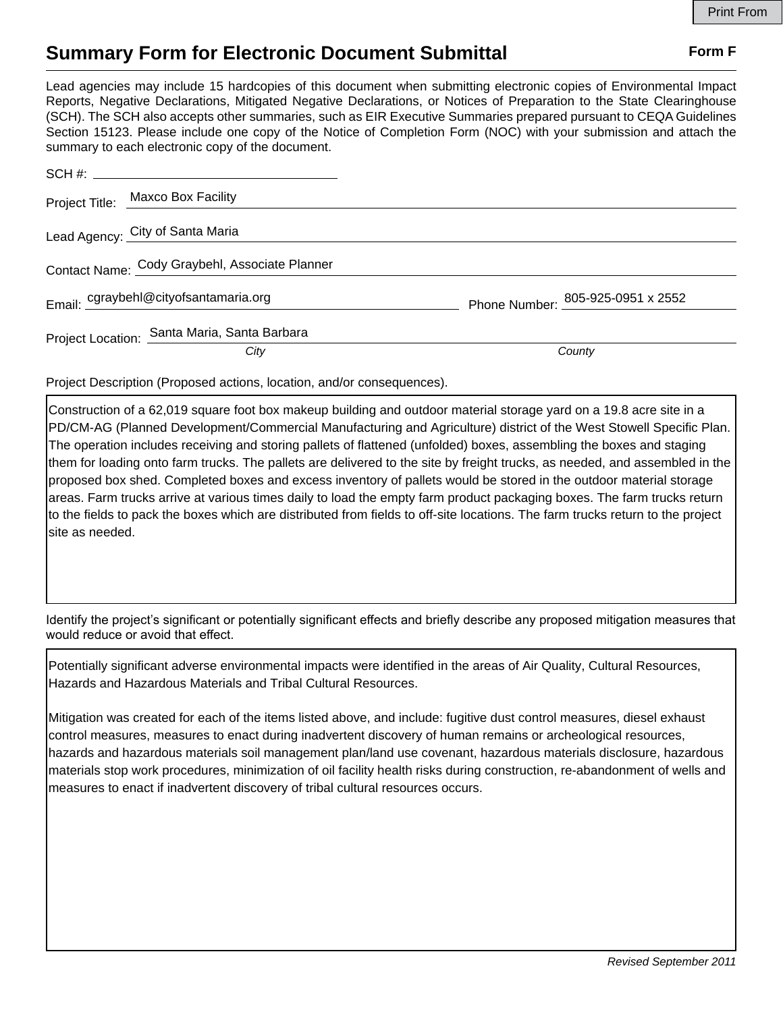## **Summary Form for Electronic Document Submittal Form F Form F**

Lead agencies may include 15 hardcopies of this document when submitting electronic copies of Environmental Impact Reports, Negative Declarations, Mitigated Negative Declarations, or Notices of Preparation to the State Clearinghouse (SCH). The SCH also accepts other summaries, such as EIR Executive Summaries prepared pursuant to CEQA Guidelines Section 15123. Please include one copy of the Notice of Completion Form (NOC) with your submission and attach the summary to each electronic copy of the document.

|                                                | Project Title: Maxco Box Facility            |                                   |
|------------------------------------------------|----------------------------------------------|-----------------------------------|
|                                                | Lead Agency: City of Santa Maria             |                                   |
| Contact Name: Cody Graybehl, Associate Planner |                                              |                                   |
|                                                | Email: cgraybehl@cityofsantamaria.org        | Phone Number: 805-925-0951 x 2552 |
|                                                | Project Location: Santa Maria, Santa Barbara |                                   |
|                                                | City                                         | County                            |

Project Description (Proposed actions, location, and/or consequences).

Construction of a 62,019 square foot box makeup building and outdoor material storage yard on a 19.8 acre site in a PD/CM-AG (Planned Development/Commercial Manufacturing and Agriculture) district of the West Stowell Specific Plan. The operation includes receiving and storing pallets of flattened (unfolded) boxes, assembling the boxes and staging them for loading onto farm trucks. The pallets are delivered to the site by freight trucks, as needed, and assembled in the proposed box shed. Completed boxes and excess inventory of pallets would be stored in the outdoor material storage areas. Farm trucks arrive at various times daily to load the empty farm product packaging boxes. The farm trucks return to the fields to pack the boxes which are distributed from fields to off-site locations. The farm trucks return to the project site as needed.

Identify the project's significant or potentially significant effects and briefly describe any proposed mitigation measures that would reduce or avoid that effect.

Potentially significant adverse environmental impacts were identified in the areas of Air Quality, Cultural Resources, Hazards and Hazardous Materials and Tribal Cultural Resources.

Mitigation was created for each of the items listed above, and include: fugitive dust control measures, diesel exhaust control measures, measures to enact during inadvertent discovery of human remains or archeological resources, hazards and hazardous materials soil management plan/land use covenant, hazardous materials disclosure, hazardous materials stop work procedures, minimization of oil facility health risks during construction, re-abandonment of wells and measures to enact if inadvertent discovery of tribal cultural resources occurs.